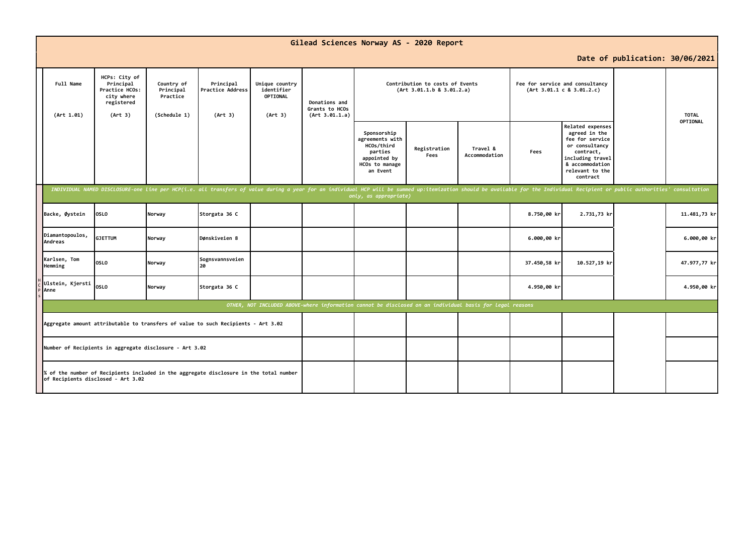| Gilead Sciences Norway AS - 2020 Report                                                                                      |                                                                                                                                                                                                                                                         |                                                     |                                          |                                                     |                                                   |                                                                                                          |                      |                           |              |                                                                                                                                                           |  |              |
|------------------------------------------------------------------------------------------------------------------------------|---------------------------------------------------------------------------------------------------------------------------------------------------------------------------------------------------------------------------------------------------------|-----------------------------------------------------|------------------------------------------|-----------------------------------------------------|---------------------------------------------------|----------------------------------------------------------------------------------------------------------|----------------------|---------------------------|--------------|-----------------------------------------------------------------------------------------------------------------------------------------------------------|--|--------------|
|                                                                                                                              | Date of publication: 30/06/2021                                                                                                                                                                                                                         |                                                     |                                          |                                                     |                                                   |                                                                                                          |                      |                           |              |                                                                                                                                                           |  |              |
| Full Name<br>(Art 1.01)                                                                                                      | HCPs: City of<br>Principal<br>Practice HCOs:<br>city where<br>registered<br>(Art 3)                                                                                                                                                                     | Country of<br>Principal<br>Practice<br>(Schedule 1) | Principal<br>Practice Address<br>(Art 3) | Unique country<br>identifier<br>OPTIONAL<br>(Art 3) | Donations and<br>Grants to HCOs<br>(Art 3.01.1.a) | Contribution to costs of Events<br>(Art 3.01.1.b 8 3.01.2.a)                                             |                      |                           |              | Fee for service and consultancy<br>(Art 3.01.1 c 8 3.01.2.c)                                                                                              |  | <b>TOTAL</b> |
|                                                                                                                              |                                                                                                                                                                                                                                                         |                                                     |                                          |                                                     |                                                   | Sponsorship<br>agreements with<br>HCOs/third<br>parties<br>appointed by<br>HCOs to manage<br>an Event    | Registration<br>Fees | Travel &<br>Accommodation | Fees         | Related expenses<br>agreed in the<br>fee for service<br>or consultancy<br>contract,<br>including travel<br>& accommodation<br>relevant to the<br>contract |  | OPTIONAL     |
|                                                                                                                              | INDIVIDUAL NAMED DISCLOSURE-one line per HCP(i.e. all transfers of value during a year for an individual HCP will be summed up:itemization should be available for the Individual Recipient or public authorities' consultatio<br>only, as appropriate) |                                                     |                                          |                                                     |                                                   |                                                                                                          |                      |                           |              |                                                                                                                                                           |  |              |
| Backe, Øystein                                                                                                               | <b>OSLO</b>                                                                                                                                                                                                                                             | Norway                                              | Storgata 36 C                            |                                                     |                                                   |                                                                                                          |                      |                           | 8.750,00 kr  | 2.731,73 kr                                                                                                                                               |  | 11.481,73 kr |
| Diamantopoulos,<br>Andreas                                                                                                   | <b>GJETTUM</b>                                                                                                                                                                                                                                          | Norway                                              | Dønskiveien 8                            |                                                     |                                                   |                                                                                                          |                      |                           | 6.000,00 kr  |                                                                                                                                                           |  | 6.000,00 kr  |
| Karlsen, Tom<br>Hemming                                                                                                      | <b>OSLO</b>                                                                                                                                                                                                                                             | Norway                                              | Sognsvannsveien<br>20                    |                                                     |                                                   |                                                                                                          |                      |                           | 37.450,58 kr | 10.527,19 kr                                                                                                                                              |  | 47.977,77 kr |
| Ulstein, Kjersti<br>Anne                                                                                                     | <b>OSLO</b>                                                                                                                                                                                                                                             | Norway                                              | Storgata 36 C                            |                                                     |                                                   |                                                                                                          |                      |                           | 4.950,00 kr  |                                                                                                                                                           |  | 4.950,00 kr  |
|                                                                                                                              |                                                                                                                                                                                                                                                         |                                                     |                                          |                                                     |                                                   | OTHER, NOT INCLUDED ABOVE-where information cannot be disclosed on an individual basis for legal reasons |                      |                           |              |                                                                                                                                                           |  |              |
| Aggregate amount attributable to transfers of value to such Recipients - Art 3.02                                            |                                                                                                                                                                                                                                                         |                                                     |                                          |                                                     |                                                   |                                                                                                          |                      |                           |              |                                                                                                                                                           |  |              |
| Number of Recipients in aggregate disclosure - Art 3.02                                                                      |                                                                                                                                                                                                                                                         |                                                     |                                          |                                                     |                                                   |                                                                                                          |                      |                           |              |                                                                                                                                                           |  |              |
| % of the number of Recipients included in the aggregate disclosure in the total number<br>of Recipients disclosed - Art 3.02 |                                                                                                                                                                                                                                                         |                                                     |                                          |                                                     |                                                   |                                                                                                          |                      |                           |              |                                                                                                                                                           |  |              |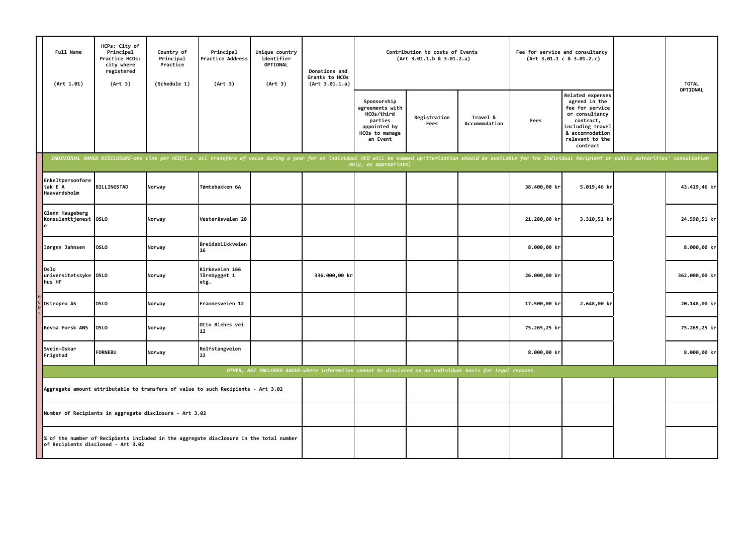|                                                                                                                            | Full Name<br>(Art 1.01)                     | HCPs: City of<br>Principal<br>Practice HCOs:<br>city where<br>registered<br>(Art 3) | Country of<br>Principal<br>Practice<br>(Schedule 1) | Principal<br>Practice Address<br>(Art 3)                                                                                                                                                                                       | Unique country<br>identifier<br><b>OPTIONAL</b><br>(Art 3) | Donations and<br>Grants to HCOs<br>(Art 3.01.1.a)                                                        | Contribution to costs of Events<br>(Art 3.01.1.b 8 3.01.2.a)                                          |                      |                           | Fee for service and consultancy<br>(Art 3.01.1 c 8 3.01.2.c) |                                                                                                                                                           | <b>TOTAL</b>  |
|----------------------------------------------------------------------------------------------------------------------------|---------------------------------------------|-------------------------------------------------------------------------------------|-----------------------------------------------------|--------------------------------------------------------------------------------------------------------------------------------------------------------------------------------------------------------------------------------|------------------------------------------------------------|----------------------------------------------------------------------------------------------------------|-------------------------------------------------------------------------------------------------------|----------------------|---------------------------|--------------------------------------------------------------|-----------------------------------------------------------------------------------------------------------------------------------------------------------|---------------|
|                                                                                                                            |                                             |                                                                                     |                                                     |                                                                                                                                                                                                                                |                                                            |                                                                                                          | Sponsorship<br>agreements with<br>HCOs/third<br>parties<br>appointed by<br>HCOs to manage<br>an Event | Registration<br>Fees | Travel &<br>Accommodation | Fees                                                         | Related expenses<br>agreed in the<br>fee for service<br>or consultancy<br>contract,<br>including travel<br>& accommodation<br>relevant to the<br>contract | OPTIONAL      |
|                                                                                                                            |                                             |                                                                                     |                                                     | INDIVIDUAL NAMED DISCLOSURE-one line per HCO(i.e. all transfers of value during a year for an individual HCO will be summed up:itemization should be available for the Individual Recipient or public authorities' consultatio |                                                            |                                                                                                          | only, as appropriate)                                                                                 |                      |                           |                                                              |                                                                                                                                                           |               |
|                                                                                                                            | Enkeltpersonfore<br>tak E A<br>Haavardsholm | <b>BILLINGSTAD</b>                                                                  | Norway                                              | Tømtebakken 6A                                                                                                                                                                                                                 |                                                            |                                                                                                          |                                                                                                       |                      |                           | 38.400,00 kr                                                 | 5.019,46 kr                                                                                                                                               | 43.419,46 kr  |
|                                                                                                                            | Glenn Haugeberg<br>Konsulenttjenest 0SLO    |                                                                                     | Norway                                              | Vesteråsveien 28                                                                                                                                                                                                               |                                                            |                                                                                                          |                                                                                                       |                      |                           | 21.280,00 kr                                                 | 3.310,51 kr                                                                                                                                               | 24.590,51 kr  |
|                                                                                                                            | Jørgen Jahnsen                              | <b>OSLO</b>                                                                         | Norway                                              | Breidablikkveien<br>16                                                                                                                                                                                                         |                                                            |                                                                                                          |                                                                                                       |                      |                           | 8.000,00 kr                                                  |                                                                                                                                                           | 8.000,00 kr   |
|                                                                                                                            | Oslo<br>universitetssyke OSLO<br>hus HF     |                                                                                     | Norway                                              | Kirkeveien 166<br>Tårnbygget 1<br>etg.                                                                                                                                                                                         |                                                            | 336.000,00 kr                                                                                            |                                                                                                       |                      |                           | 26.000,00 kr                                                 |                                                                                                                                                           | 362.000,00 kr |
|                                                                                                                            | Osteopro AS                                 | <b>OSLO</b>                                                                         | Norway                                              | Framnesveien 12                                                                                                                                                                                                                |                                                            |                                                                                                          |                                                                                                       |                      |                           | 17.500,00 kr                                                 | 2.648,00 kr                                                                                                                                               | 20.148,00 kr  |
|                                                                                                                            | Revma Forsk ANS                             | <b>OSLO</b>                                                                         | Norway                                              | Otto Blehrs vei<br>12                                                                                                                                                                                                          |                                                            |                                                                                                          |                                                                                                       |                      |                           | 75.265,25 kr                                                 |                                                                                                                                                           | 75.265,25 kr  |
|                                                                                                                            | Svein-Oskar<br>Frigstad                     | <b>FORNEBU</b>                                                                      | Norway                                              | Rolfstangveien<br>22                                                                                                                                                                                                           |                                                            |                                                                                                          |                                                                                                       |                      |                           | 8.000,00 kr                                                  |                                                                                                                                                           | 8.000,00 kr   |
|                                                                                                                            |                                             |                                                                                     |                                                     |                                                                                                                                                                                                                                |                                                            | OTHER, NOT INCLUDED ABOVE-where information cannot be disclosed on an individual basis for legal reasons |                                                                                                       |                      |                           |                                                              |                                                                                                                                                           |               |
|                                                                                                                            |                                             | Aggregate amount attributable to transfers of value to such Recipients - Art 3.02   |                                                     |                                                                                                                                                                                                                                |                                                            |                                                                                                          |                                                                                                       |                      |                           |                                                              |                                                                                                                                                           |               |
|                                                                                                                            |                                             | Number of Recipients in aggregate disclosure - Art 3.02                             |                                                     |                                                                                                                                                                                                                                |                                                            |                                                                                                          |                                                                                                       |                      |                           |                                                              |                                                                                                                                                           |               |
| of the number of Recipients included in the aggregate disclosure in the total number<br>of Recipients disclosed - Art 3.02 |                                             |                                                                                     |                                                     |                                                                                                                                                                                                                                |                                                            |                                                                                                          |                                                                                                       |                      |                           |                                                              |                                                                                                                                                           |               |